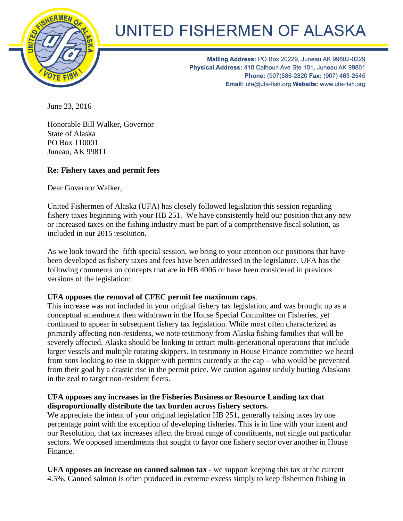

## UNITED FISHERMEN OF ALASKA

Mailing Address: PO Box 20229, Juneau AK 99802-0229 Physical Address: 410 Calhoun Ave Ste 101, Juneau AK 99801 Phone: (907)586-2820 Fax: (907) 463-2545 Email: ufa@ufa-fish.org Website: www.ufa-fish.org

June 23, 2016

Honorable Bill Walker, Governor State of Alaska PO Box 110001 Juneau, AK 99811

## **Re: Fishery taxes and permit fees**

Dear Governor Walker,

United Fishermen of Alaska (UFA) has closely followed legislation this session regarding fishery taxes beginning with your HB 251. We have consistently held our position that any new or increased taxes on the fishing industry must be part of a comprehensive fiscal solution, as included in our 2015 resolution.

As we look toward the fifth special session, we bring to your attention our positions that have been developed as fishery taxes and fees have been addressed in the legislature. UFA has the following comments on concepts that are in HB 4006 or have been considered in previous versions of the legislation:

## **UFA opposes the removal of CFEC permit fee maximum caps**.

This increase was not included in your original fishery tax legislation, and was brought up as a conceptual amendment then withdrawn in the House Special Committee on Fisheries, yet continued to appear in subsequent fishery tax legislation. While most often characterized as primarily affecting non-residents, we note testimony from Alaska fishing families that will be severely affected. Alaska should be looking to attract multi-generational operations that include larger vessels and multiple rotating skippers. In testimony in House Finance committee we heard from sons looking to rise to skipper with permits currently at the cap – who would be prevented from their goal by a drastic rise in the permit price. We caution against unduly hurting Alaskans in the zeal to target non-resident fleets.

## **UFA opposes any increases in the Fisheries Business or Resource Landing tax that disproportionally distribute the tax burden across fishery sectors.**

We appreciate the intent of your original legislation HB 251, generally raising taxes by one percentage point with the exception of developing fisheries. This is in line with your intent and our Resolution, that tax increases affect the broad range of constituents, not single out particular sectors. We opposed amendments that sought to favor one fishery sector over another in House Finance.

**UFA opposes an increase on canned salmon tax** - we support keeping this tax at the current 4.5%. Canned salmon is often produced in extreme excess simply to keep fishermen fishing in